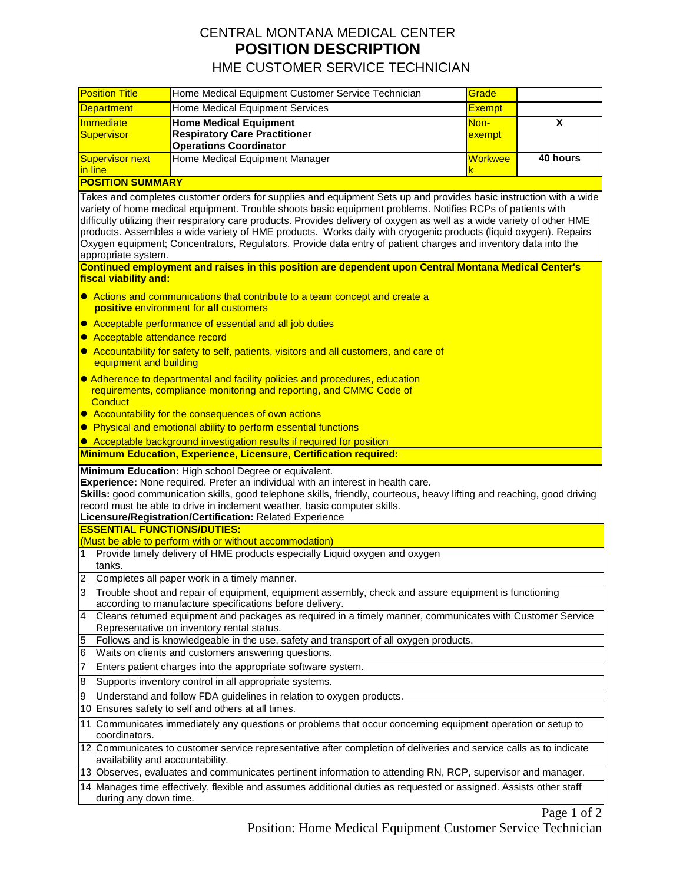## CENTRAL MONTANA MEDICAL CENTER **POSITION DESCRIPTION** HME CUSTOMER SERVICE TECHNICIAN

Position Title Home Medical Equipment Customer Service Technician Grade **Department** Home Medical Equipment Services **Exempt Exempt Immediate** Supervisor **Home Medical Equipment Respiratory Care Practitioner Operations Coordinator** Nonexempt **X Supervisor next** in line Home Medical Equipment Manager National Communication of Northwee k **40 hours POSITION SUMMARY** Takes and completes customer orders for supplies and equipment Sets up and provides basic instruction with a wide variety of home medical equipment. Trouble shoots basic equipment problems. Notifies RCPs of patients with difficulty utilizing their respiratory care products. Provides delivery of oxygen as well as a wide variety of other HME products. Assembles a wide variety of HME products. Works daily with cryogenic products (liquid oxygen). Repairs Oxygen equipment; Concentrators, Regulators. Provide data entry of patient charges and inventory data into the appropriate system. **Continued employment and raises in this position are dependent upon Central Montana Medical Center's fiscal viability and: • Actions and communications that contribute to a team concept and create a positive** environment for **all** customers ● Acceptable performance of essential and all job duties **Acceptable attendance record** ● Accountability for safety to self, patients, visitors and all customers, and care of equipment and building Adherence to departmental and facility policies and procedures, education requirements, compliance monitoring and reporting, and CMMC Code of **Conduct • Accountability for the consequences of own actions • Physical and emotional ability to perform essential functions** • Acceptable background investigation results if required for position **Minimum Education, Experience, Licensure, Certification required: Minimum Education:** High school Degree or equivalent. **Experience:** None required. Prefer an individual with an interest in health care. **Skills:** good communication skills, good telephone skills, friendly, courteous, heavy lifting and reaching, good driving record must be able to drive in inclement weather, basic computer skills. **Licensure/Registration/Certification:** Related Experience **ESSENTIAL FUNCTIONS/DUTIES:**  (Must be able to perform with or without accommodation) 1 Provide timely delivery of HME products especially Liquid oxygen and oxygen tanks. 2 Completes all paper work in a timely manner. 3 Trouble shoot and repair of equipment, equipment assembly, check and assure equipment is functioning according to manufacture specifications before delivery. 4 Cleans returned equipment and packages as required in a timely manner, communicates with Customer Service Representative on inventory rental status. 5 Follows and is knowledgeable in the use, safety and transport of all oxygen products. 6 Waits on clients and customers answering questions. 7 Enters patient charges into the appropriate software system. 8 Supports inventory control in all appropriate systems. Understand and follow FDA guidelines in relation to oxygen products. 10 Ensures safety to self and others at all times. 11 Communicates immediately any questions or problems that occur concerning equipment operation or setup to coordinators. 12 Communicates to customer service representative after completion of deliveries and service calls as to indicate availability and accountability. 13 Observes, evaluates and communicates pertinent information to attending RN, RCP, supervisor and manager. 14 Manages time effectively, flexible and assumes additional duties as requested or assigned. Assists other staff during any down time.